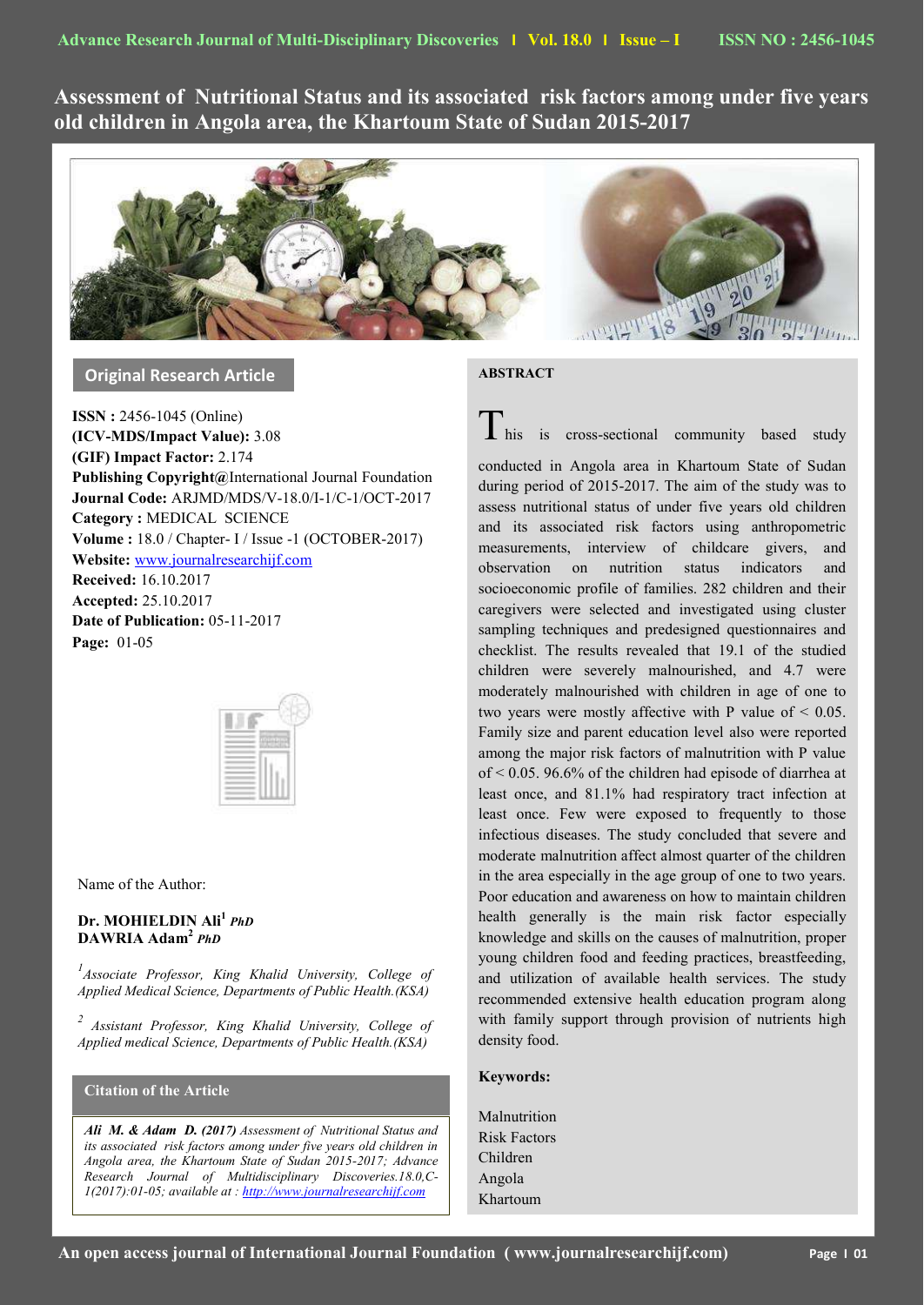**Assessment of Nutritional Status and its associated risk factors among under five years old children in Angola area, the Khartoum State of Sudan 2015-2017**



**Original Research Article**

**ISSN :** 2456-1045 (Online) **(ICV-MDS/Impact Value):** 3.08 **(GIF) Impact Factor:** 2.174 **Publishing Copyright@**International Journal Foundation **Journal Code:** ARJMD/MDS/V-18.0/I-1/C-1/OCT-2017 **Category :** MEDICAL SCIENCE **Volume :** 18.0 / Chapter- I / Issue -1 (OCTOBER-2017) **Website:** [www.journalresearchijf.com](http://www.journalresearchijf.com/) **Received:** 16.10.2017 **Accepted:** 25.10.2017 **Date of Publication:** 05-11-2017 **Page:** 01-05



Name of the Author:

# **Dr. MOHIELDIN Ali<sup>1</sup>** *PhD* **DAWRIA Adam<sup>2</sup>** *PhD*

*1 Associate Professor, King Khalid University, College of Applied Medical Science, Departments of Public Health.(KSA)*

*2 Assistant Professor, King Khalid University, College of Applied medical Science, Departments of Public Health.(KSA)*

# **Citation of the Article**

**e;**

*Ali M. & Adam D. (2017) Assessment of Nutritional Status and its associated risk factors among under five years old children in Angola area, the Khartoum State of Sudan 2015-2017; Advance Research Journal of Multidisciplinary Discoveries.18.0,C-1(2017):01-05; available at [: http://www.journalresearchijf.com](http://www.journalresearchijf.com/)*

# **ABSTRACT**

 $\frac{1}{\sqrt{1}}$  his is cross-sectional community based study

conducted in Angola area in Khartoum State of Sudan during period of 2015-2017. The aim of the study was to assess nutritional status of under five years old children and its associated risk factors using anthropometric measurements, interview of childcare givers, and observation on nutrition status indicators and socioeconomic profile of families. 282 children and their caregivers were selected and investigated using cluster sampling techniques and predesigned questionnaires and checklist. The results revealed that 19.1 of the studied children were severely malnourished, and 4.7 were moderately malnourished with children in age of one to two years were mostly affective with P value of  $\leq 0.05$ . Family size and parent education level also were reported among the major risk factors of malnutrition with P value of < 0.05. 96.6% of the children had episode of diarrhea at least once, and 81.1% had respiratory tract infection at least once. Few were exposed to frequently to those infectious diseases. The study concluded that severe and moderate malnutrition affect almost quarter of the children in the area especially in the age group of one to two years. Poor education and awareness on how to maintain children health generally is the main risk factor especially knowledge and skills on the causes of malnutrition, proper young children food and feeding practices, breastfeeding, and utilization of available health services. The study recommended extensive health education program along with family support through provision of nutrients high density food.

# **Keywords:**

Malnutrition Risk Factors Children Angola Khartoum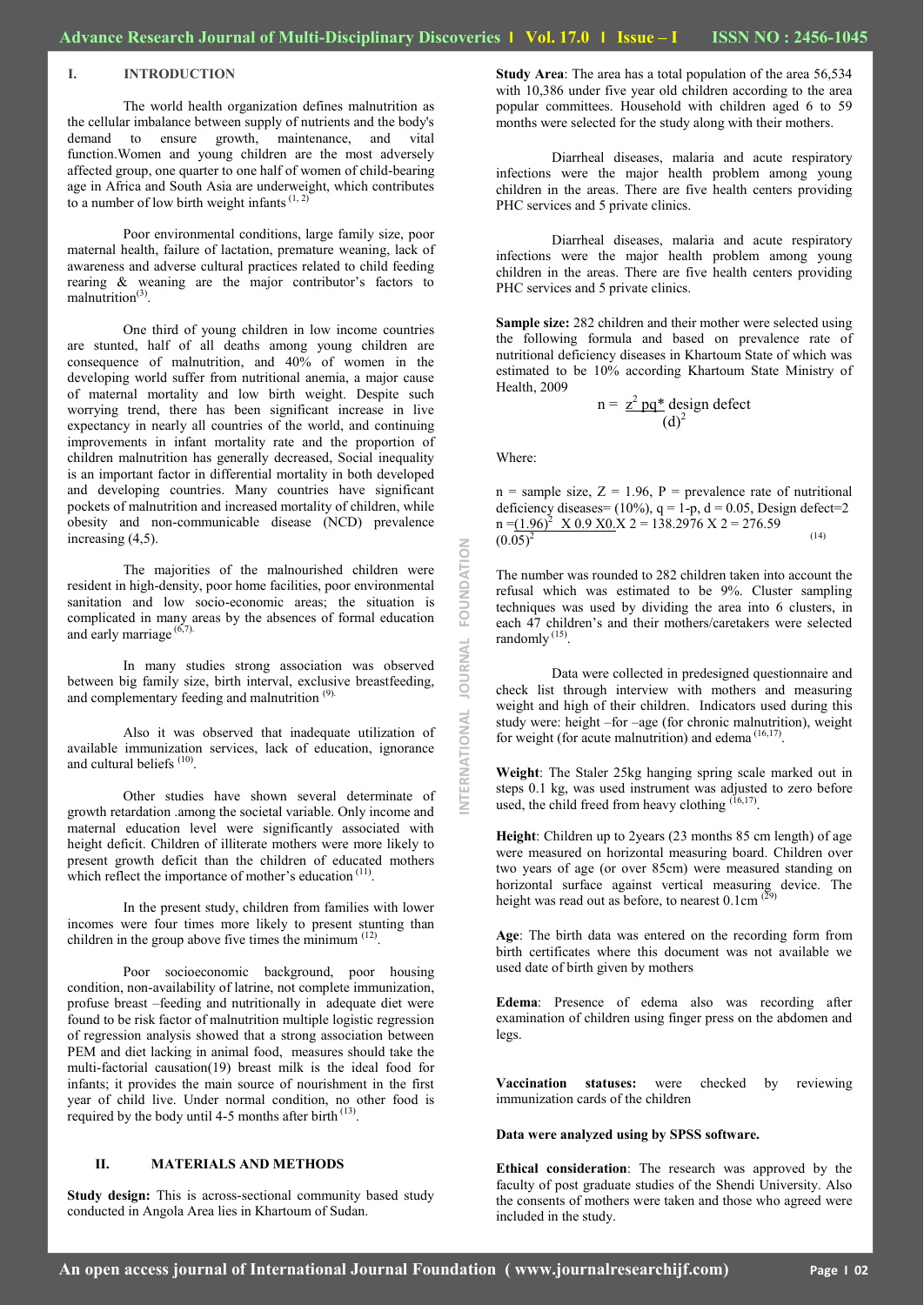### **I. INTRODUCTION**

The world health organization defines malnutrition as the cellular imbalance between supply of nutrients and the body's demand to ensure growth, maintenance, and vital function.Women and young children are the most adversely affected group, one quarter to one half of women of child-bearing age in Africa and South Asia are underweight, which contributes to a number of low birth weight infants $(1, 2)$ 

Poor environmental conditions, large family size, poor maternal health, failure of lactation, premature weaning, lack of awareness and adverse cultural practices related to child feeding rearing & weaning are the major contributor's factors to malnutrition<sup>(3)</sup>.

One third of young children in low income countries are stunted, half of all deaths among young children are consequence of malnutrition, and 40% of women in the developing world suffer from nutritional anemia, a major cause of maternal mortality and low birth weight. Despite such worrying trend, there has been significant increase in live expectancy in nearly all countries of the world, and continuing improvements in infant mortality rate and the proportion of children malnutrition has generally decreased, Social inequality is an important factor in differential mortality in both developed and developing countries. Many countries have significant pockets of malnutrition and increased mortality of children, while obesity and non-communicable disease (NCD) prevalence increasing (4,5).

The majorities of the malnourished children were resident in high-density, poor home facilities, poor environmental sanitation and low socio-economic areas; the situation is complicated in many areas by the absences of formal education and early marriage  $(6,7)$ .

In many studies strong association was observed between big family size, birth interval, exclusive breastfeeding, and complementary feeding and malnutrition (9).

Also it was observed that inadequate utilization of available immunization services, lack of education, ignorance and cultural beliefs<sup>(10)</sup>.

Other studies have shown several determinate of growth retardation .among the societal variable. Only income and maternal education level were significantly associated with height deficit. Children of illiterate mothers were more likely to present growth deficit than the children of educated mothers which reflect the importance of mother's education  $(11)$ .

In the present study, children from families with lower incomes were four times more likely to present stunting than children in the group above five times the minimum  $(12)$ .

Poor socioeconomic background, poor housing condition, non-availability of latrine, not complete immunization, profuse breast –feeding and nutritionally in adequate diet were found to be risk factor of malnutrition multiple logistic regression of regression analysis showed that a strong association between PEM and diet lacking in animal food, measures should take the multi-factorial causation(19) breast milk is the ideal food for infants; it provides the main source of nourishment in the first year of child live. Under normal condition, no other food is required by the body until 4-5 months after birth  $<sup>(13)</sup>$ .</sup>

### **II. MATERIALS AND METHODS**

**Study design:** This is across-sectional community based study conducted in Angola Area lies in Khartoum of Sudan.

**Study Area**: The area has a total population of the area 56,534 with 10,386 under five year old children according to the area popular committees. Household with children aged 6 to 59 months were selected for the study along with their mothers.

Diarrheal diseases, malaria and acute respiratory infections were the major health problem among young children in the areas. There are five health centers providing PHC services and 5 private clinics.

Diarrheal diseases, malaria and acute respiratory infections were the major health problem among young children in the areas. There are five health centers providing PHC services and 5 private clinics.

**Sample size:** 282 children and their mother were selected using the following formula and based on prevalence rate of nutritional deficiency diseases in Khartoum State of which was estimated to be 10% according Khartoum State Ministry of Health, 2009

$$
n = \frac{z^2 pq^* \text{ design defect}}{(d)^2}
$$

Where:

**INTERNATIONAL JOURNAL FOUNDATION**

**JOURNAL** 

ERNATIONAL

FOUNDATION

 $n =$  sample size,  $Z = 1.96$ ,  $P =$  prevalence rate of nutritional deficiency diseases=  $(10\%)$ ,  $q = 1-p$ ,  $d = 0.05$ , Design defect=2  $n = (1.96)^2$  X 0.9 X 0.8  $\lambda$  2 = 138.2976 X 2 = 276.59  $\frac{(1.30) \times (0.05)^2}{(0.05)^2}$  (14)

The number was rounded to 282 children taken into account the refusal which was estimated to be 9%. Cluster sampling techniques was used by dividing the area into 6 clusters, in each 47 children's and their mothers/caretakers were selected randomly<sup>(15)</sup>.

Data were collected in predesigned questionnaire and check list through interview with mothers and measuring weight and high of their children. Indicators used during this study were: height –for –age (for chronic malnutrition), weight for weight (for acute malnutrition) and edema  $(16,17)$ .

**Weight**: The Staler 25kg hanging spring scale marked out in steps 0.1 kg, was used instrument was adjusted to zero before used, the child freed from heavy clothing  $(16,17)$ .

**Height**: Children up to 2years (23 months 85 cm length) of age were measured on horizontal measuring board. Children over two years of age (or over 85cm) were measured standing on horizontal surface against vertical measuring device. The height was read out as before, to nearest  $0.1 \text{cm}^{(29)}$ 

**Age**: The birth data was entered on the recording form from birth certificates where this document was not available we used date of birth given by mothers

**Edema**: Presence of edema also was recording after examination of children using finger press on the abdomen and legs.

**Vaccination statuses:** were checked by reviewing immunization cards of the children

#### **Data were analyzed using by SPSS software.**

**Ethical consideration**: The research was approved by the faculty of post graduate studies of the Shendi University. Also the consents of mothers were taken and those who agreed were included in the study.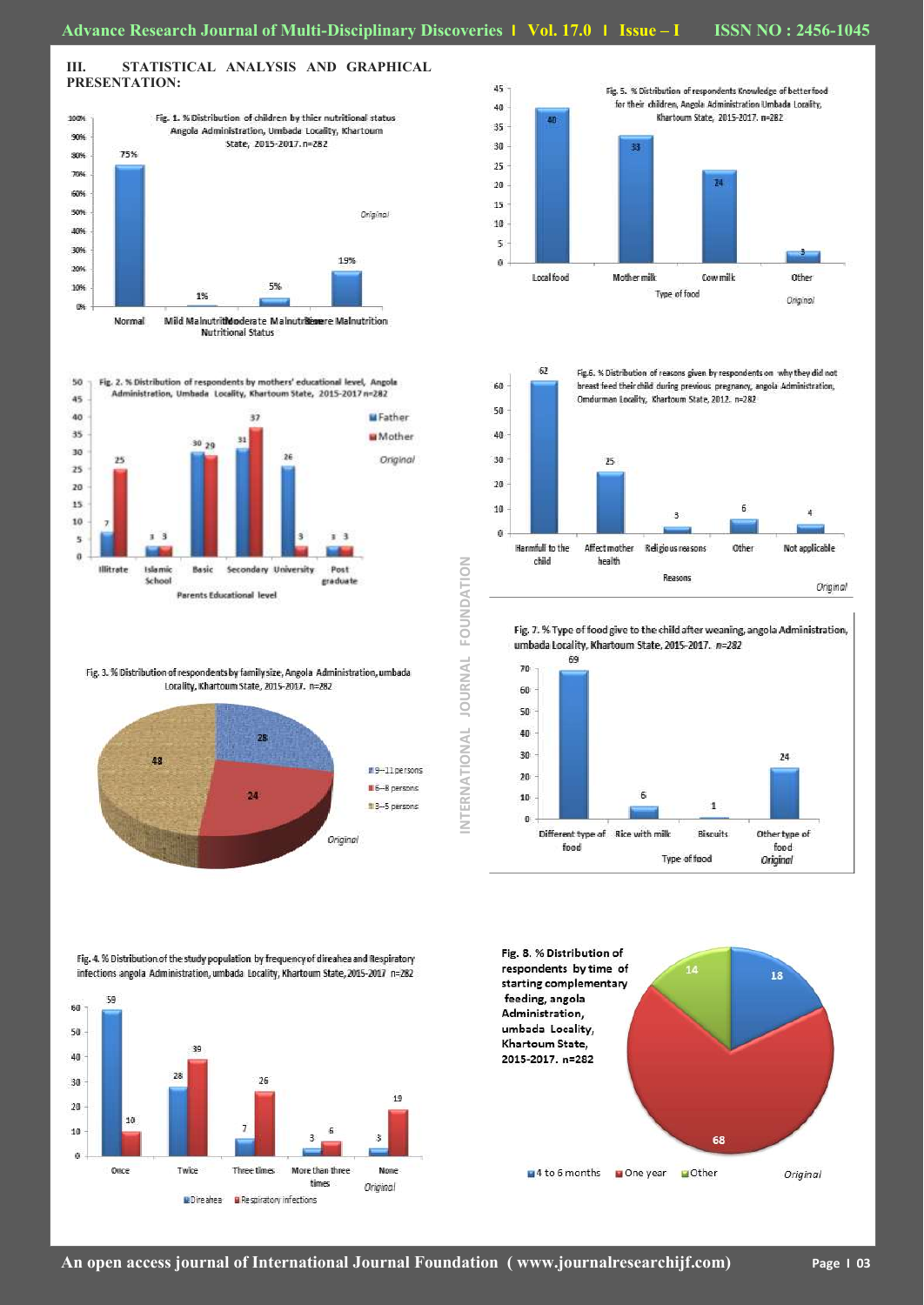## **III. STATISTICAL ANALYSIS AND GRAPHICAL PRESENTATION:**





Fig. 3. % Distribution of respondents by family size, Angola Administration, umbada Locality, Khartoum State, 2015-2017. n=282







Fig. 7. % Type of food give to the child after weaning, angola Administration, umbada Locality, Khartoum State, 2015-2017. n=282



Fig. 8. % Distribution of respondents by time of 18 starting complementary feeding, angola Administration, umbada Locality, Khartoum State, 2015-2017. n=282 68 4 to 6 months a One year a Other Original

#### Fig. 4. % Distribution of the study population by frequency of direahea and Respiratory infections angola Administration, umbada Locality, Khartoum State, 2015-2017 n=282

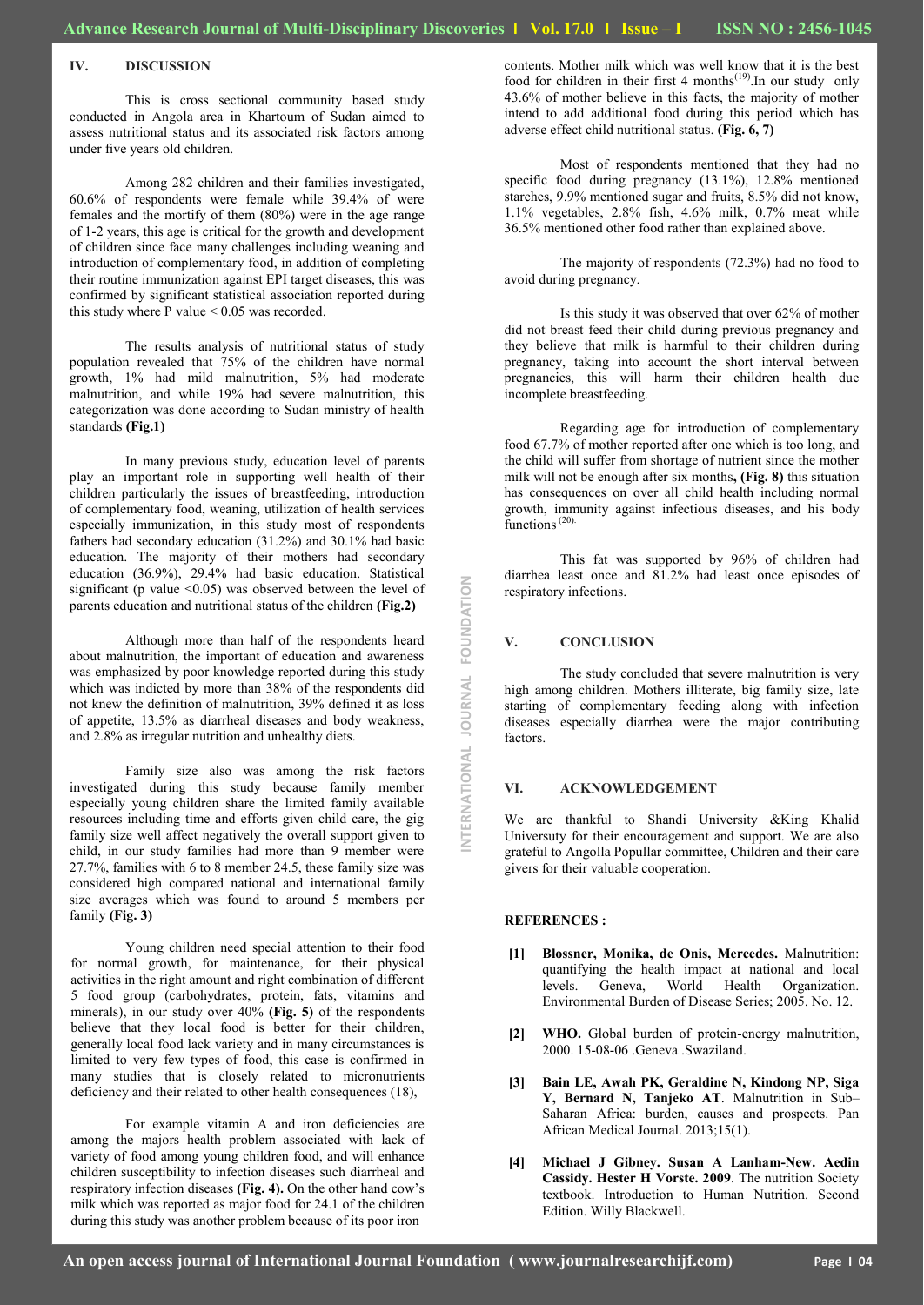### **IV. DISCUSSION**

This is cross sectional community based study conducted in Angola area in Khartoum of Sudan aimed to assess nutritional status and its associated risk factors among under five years old children.

Among 282 children and their families investigated, 60.6% of respondents were female while 39.4% of were females and the mortify of them (80%) were in the age range of 1-2 years, this age is critical for the growth and development of children since face many challenges including weaning and introduction of complementary food, in addition of completing their routine immunization against EPI target diseases, this was confirmed by significant statistical association reported during this study where P value < 0.05 was recorded.

The results analysis of nutritional status of study population revealed that 75% of the children have normal growth, 1% had mild malnutrition, 5% had moderate malnutrition, and while 19% had severe malnutrition, this categorization was done according to Sudan ministry of health standards **(Fig.1)**

In many previous study, education level of parents play an important role in supporting well health of their children particularly the issues of breastfeeding, introduction of complementary food, weaning, utilization of health services especially immunization, in this study most of respondents fathers had secondary education (31.2%) and 30.1% had basic education. The majority of their mothers had secondary education (36.9%), 29.4% had basic education. Statistical significant (p value  $\leq 0.05$ ) was observed between the level of parents education and nutritional status of the children **(Fig.2)**

Although more than half of the respondents heard about malnutrition, the important of education and awareness was emphasized by poor knowledge reported during this study which was indicted by more than 38% of the respondents did not knew the definition of malnutrition, 39% defined it as loss of appetite, 13.5% as diarrheal diseases and body weakness, and 2.8% as irregular nutrition and unhealthy diets.

Family size also was among the risk factors investigated during this study because family member especially young children share the limited family available resources including time and efforts given child care, the gig family size well affect negatively the overall support given to child, in our study families had more than 9 member were 27.7%, families with 6 to 8 member 24.5, these family size was considered high compared national and international family size averages which was found to around 5 members per family **(Fig. 3)**

Young children need special attention to their food for normal growth, for maintenance, for their physical activities in the right amount and right combination of different 5 food group (carbohydrates, protein, fats, vitamins and minerals), in our study over 40% **(Fig. 5)** of the respondents believe that they local food is better for their children, generally local food lack variety and in many circumstances is limited to very few types of food, this case is confirmed in many studies that is closely related to micronutrients deficiency and their related to other health consequences (18),

For example vitamin A and iron deficiencies are among the majors health problem associated with lack of variety of food among young children food, and will enhance children susceptibility to infection diseases such diarrheal and respiratory infection diseases **(Fig. 4).** On the other hand cow's milk which was reported as major food for 24.1 of the children during this study was another problem because of its poor iron

Most of respondents mentioned that they had no specific food during pregnancy (13.1%), 12.8% mentioned starches, 9.9% mentioned sugar and fruits, 8.5% did not know, 1.1% vegetables, 2.8% fish, 4.6% milk, 0.7% meat while 36.5% mentioned other food rather than explained above.

The majority of respondents (72.3%) had no food to avoid during pregnancy.

Is this study it was observed that over 62% of mother did not breast feed their child during previous pregnancy and they believe that milk is harmful to their children during pregnancy, taking into account the short interval between pregnancies, this will harm their children health due incomplete breastfeeding.

Regarding age for introduction of complementary food 67.7% of mother reported after one which is too long, and the child will suffer from shortage of nutrient since the mother milk will not be enough after six months**, (Fig. 8)** this situation has consequences on over all child health including normal growth, immunity against infectious diseases, and his body functions<sup>(20)</sup>.

This fat was supported by 96% of children had diarrhea least once and 81.2% had least once episodes of respiratory infections.

## **V. CONCLUSION**

The study concluded that severe malnutrition is very high among children. Mothers illiterate, big family size, late starting of complementary feeding along with infection diseases especially diarrhea were the major contributing factors.

## **VI. ACKNOWLEDGEMENT**

We are thankful to Shandi University &King Khalid Universuty for their encouragement and support. We are also grateful to Angolla Popullar committee, Children and their care givers for their valuable cooperation.

#### **REFERENCES :**

NTERNATIONAL JOURNAL FOUNDATION **INTERNATIONAL JOURNAL FOUNDATION**

- **[1] Blossner, Monika, de Onis, Mercedes.** Malnutrition: quantifying the health impact at national and local levels. Geneva, World Health Organization. Environmental Burden of Disease Series; 2005. No. 12.
- **[2] WHO.** Global burden of protein-energy malnutrition, 2000. 15-08-06 .Geneva .Swaziland.
- **[3] Bain LE, Awah PK, Geraldine N, Kindong NP, Siga Y, Bernard N, Tanjeko AT**. Malnutrition in Sub– Saharan Africa: burden, causes and prospects. Pan African Medical Journal. 2013;15(1).
- **[4] Michael J Gibney. Susan A Lanham-New. Aedin Cassidy. Hester H Vorste. 2009**. The nutrition Society textbook. Introduction to Human Nutrition. Second Edition. Willy Blackwell.